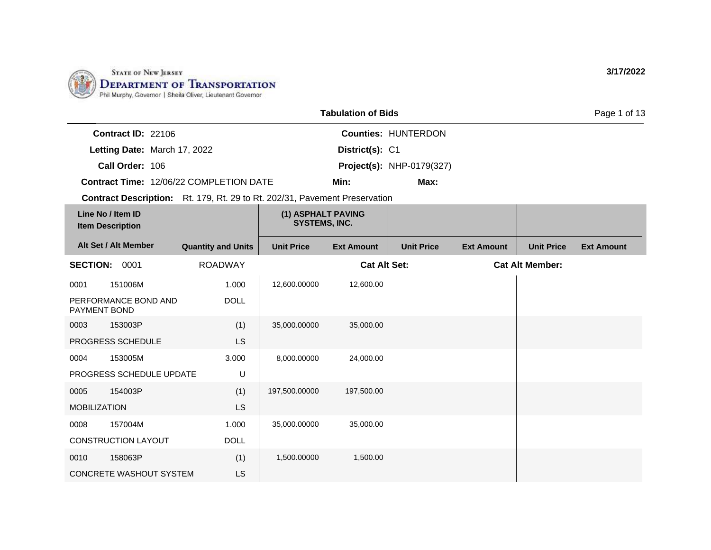

|                                                                            | Page 1 of 13    |                                  |  |
|----------------------------------------------------------------------------|-----------------|----------------------------------|--|
| <b>Contract ID: 22106</b>                                                  |                 | <b>Counties: HUNTERDON</b>       |  |
| Letting Date: March 17, 2022                                               | District(s): C1 |                                  |  |
| Call Order: 106                                                            |                 | <b>Project(s): NHP-0179(327)</b> |  |
| <b>Contract Time: 12/06/22 COMPLETION DATE</b>                             | Min:            | Max:                             |  |
| Contract Description: Rt. 179, Rt. 29 to Rt. 202/31, Pavement Preservation |                 |                                  |  |
|                                                                            |                 |                                  |  |

| Line No / Item ID<br><b>Item Description</b> |                                | (1) ASPHALT PAVING<br><b>SYSTEMS, INC.</b> |                   |                     |                   |                   |                        |                   |
|----------------------------------------------|--------------------------------|--------------------------------------------|-------------------|---------------------|-------------------|-------------------|------------------------|-------------------|
|                                              | Alt Set / Alt Member           | <b>Quantity and Units</b>                  | <b>Unit Price</b> | <b>Ext Amount</b>   | <b>Unit Price</b> | <b>Ext Amount</b> | <b>Unit Price</b>      | <b>Ext Amount</b> |
| <b>SECTION:</b>                              | 0001                           | <b>ROADWAY</b>                             |                   | <b>Cat Alt Set:</b> |                   |                   | <b>Cat Alt Member:</b> |                   |
| 0001                                         | 151006M                        | 1.000                                      | 12,600.00000      | 12,600.00           |                   |                   |                        |                   |
| PAYMENT BOND                                 | PERFORMANCE BOND AND           | <b>DOLL</b>                                |                   |                     |                   |                   |                        |                   |
| 0003                                         | 153003P                        | (1)                                        | 35,000.00000      | 35,000.00           |                   |                   |                        |                   |
|                                              | PROGRESS SCHEDULE              | LS                                         |                   |                     |                   |                   |                        |                   |
| 0004                                         | 153005M                        | 3.000                                      | 8,000.00000       | 24,000.00           |                   |                   |                        |                   |
|                                              | PROGRESS SCHEDULE UPDATE       | U                                          |                   |                     |                   |                   |                        |                   |
| 0005                                         | 154003P                        | (1)                                        | 197,500.00000     | 197,500.00          |                   |                   |                        |                   |
| <b>MOBILIZATION</b>                          |                                | LS                                         |                   |                     |                   |                   |                        |                   |
| 0008                                         | 157004M                        | 1.000                                      | 35,000.00000      | 35,000.00           |                   |                   |                        |                   |
|                                              | CONSTRUCTION LAYOUT            | <b>DOLL</b>                                |                   |                     |                   |                   |                        |                   |
| 0010                                         | 158063P                        | (1)                                        | 1,500.00000       | 1,500.00            |                   |                   |                        |                   |
|                                              | <b>CONCRETE WASHOUT SYSTEM</b> | LS                                         |                   |                     |                   |                   |                        |                   |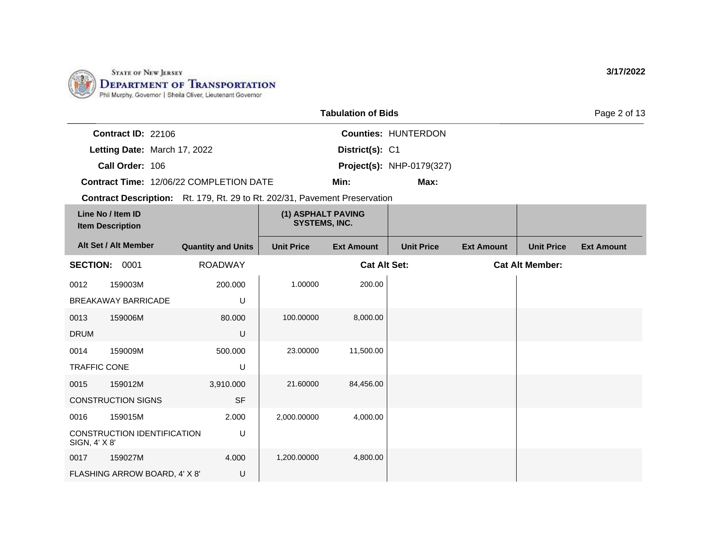

|                           | <b>Tabulation of Bids</b>                                                         |                 |                                  |  |  |
|---------------------------|-----------------------------------------------------------------------------------|-----------------|----------------------------------|--|--|
| <b>Contract ID: 22106</b> |                                                                                   |                 | <b>Counties: HUNTERDON</b>       |  |  |
|                           | Letting Date: March 17, 2022                                                      | District(s): C1 |                                  |  |  |
| Call Order: 106           |                                                                                   |                 | <b>Project(s): NHP-0179(327)</b> |  |  |
|                           | <b>Contract Time: 12/06/22 COMPLETION DATE</b>                                    | Min:            | Max:                             |  |  |
|                           | <b>Contract Description:</b> Rt. 179, Rt. 29 to Rt. 202/31, Pavement Preservation |                 |                                  |  |  |

| Line No / Item ID<br><b>Item Description</b>      |                               | (1) ASPHALT PAVING<br><b>SYSTEMS, INC.</b> |                   |                     |                   |                   |                        |                   |
|---------------------------------------------------|-------------------------------|--------------------------------------------|-------------------|---------------------|-------------------|-------------------|------------------------|-------------------|
|                                                   | Alt Set / Alt Member          | <b>Quantity and Units</b>                  | <b>Unit Price</b> | <b>Ext Amount</b>   | <b>Unit Price</b> | <b>Ext Amount</b> | <b>Unit Price</b>      | <b>Ext Amount</b> |
| <b>SECTION:</b>                                   | 0001                          | <b>ROADWAY</b>                             |                   | <b>Cat Alt Set:</b> |                   |                   | <b>Cat Alt Member:</b> |                   |
| 0012                                              | 159003M                       | 200.000                                    | 1.00000           | 200.00              |                   |                   |                        |                   |
|                                                   | <b>BREAKAWAY BARRICADE</b>    | U                                          |                   |                     |                   |                   |                        |                   |
| 0013                                              | 159006M                       | 80.000                                     | 100.00000         | 8,000.00            |                   |                   |                        |                   |
| <b>DRUM</b>                                       |                               | U                                          |                   |                     |                   |                   |                        |                   |
| 0014                                              | 159009M                       | 500.000                                    | 23.00000          | 11,500.00           |                   |                   |                        |                   |
| <b>TRAFFIC CONE</b>                               |                               | U                                          |                   |                     |                   |                   |                        |                   |
| 0015                                              | 159012M                       | 3,910.000                                  | 21.60000          | 84,456.00           |                   |                   |                        |                   |
|                                                   | <b>CONSTRUCTION SIGNS</b>     | <b>SF</b>                                  |                   |                     |                   |                   |                        |                   |
| 0016                                              | 159015M                       | 2.000                                      | 2,000.00000       | 4,000.00            |                   |                   |                        |                   |
| CONSTRUCTION IDENTIFICATION<br>U<br>SIGN, 4' X 8' |                               |                                            |                   |                     |                   |                   |                        |                   |
| 0017                                              | 159027M                       | 4.000                                      | 1,200.00000       | 4,800.00            |                   |                   |                        |                   |
|                                                   | FLASHING ARROW BOARD, 4' X 8' | U                                          |                   |                     |                   |                   |                        |                   |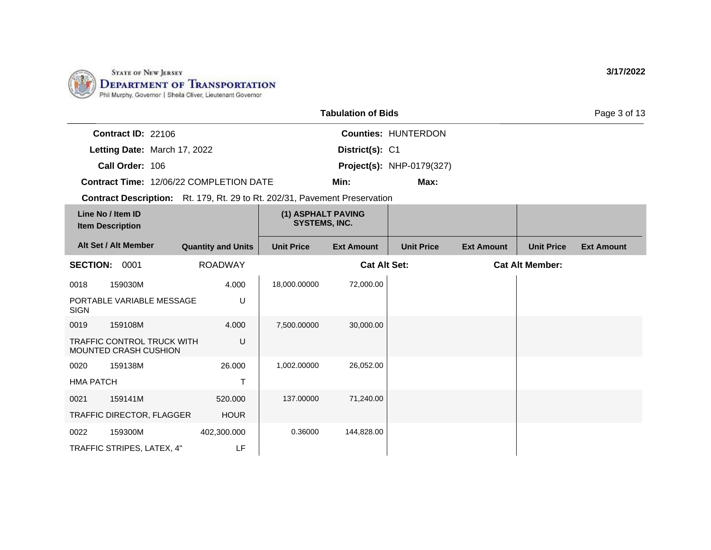

TRAFFIC DIRECTOR, FLAGGER

TRAFFIC STRIPES, LATEX, 4"

0022 159300M

HOUR

LF

402,300.000

| <b>Tabulation of Bids</b>                    |                                                                                   |                           |                                            |                     |                                  |                   |                        | Page 3 of 13      |
|----------------------------------------------|-----------------------------------------------------------------------------------|---------------------------|--------------------------------------------|---------------------|----------------------------------|-------------------|------------------------|-------------------|
|                                              | Contract ID: 22106                                                                |                           |                                            |                     | <b>Counties: HUNTERDON</b>       |                   |                        |                   |
|                                              | Letting Date: March 17, 2022                                                      |                           |                                            | District(s): C1     |                                  |                   |                        |                   |
|                                              | Call Order: 106                                                                   |                           |                                            |                     | <b>Project(s): NHP-0179(327)</b> |                   |                        |                   |
|                                              | <b>Contract Time: 12/06/22 COMPLETION DATE</b>                                    |                           |                                            | Min:                | Max:                             |                   |                        |                   |
|                                              | <b>Contract Description:</b> Rt. 179, Rt. 29 to Rt. 202/31, Pavement Preservation |                           |                                            |                     |                                  |                   |                        |                   |
| Line No / Item ID<br><b>Item Description</b> |                                                                                   |                           | (1) ASPHALT PAVING<br><b>SYSTEMS, INC.</b> |                     |                                  |                   |                        |                   |
| Alt Set / Alt Member                         |                                                                                   | <b>Quantity and Units</b> | <b>Unit Price</b>                          | <b>Ext Amount</b>   | <b>Unit Price</b>                | <b>Ext Amount</b> | <b>Unit Price</b>      | <b>Ext Amount</b> |
| <b>SECTION:</b>                              | 0001                                                                              | <b>ROADWAY</b>            |                                            | <b>Cat Alt Set:</b> |                                  |                   | <b>Cat Alt Member:</b> |                   |
| 0018                                         | 159030M                                                                           | 4.000                     | 18,000.00000                               | 72,000.00           |                                  |                   |                        |                   |
| <b>SIGN</b>                                  | PORTABLE VARIABLE MESSAGE                                                         | U                         |                                            |                     |                                  |                   |                        |                   |
| 0019                                         | 159108M                                                                           | 4.000                     | 7.500.00000                                | 30,000.00           |                                  |                   |                        |                   |
|                                              | <b>TRAFFIC CONTROL TRUCK WITH</b><br>MOUNTED CRASH CUSHION                        | U                         |                                            |                     |                                  |                   |                        |                   |
| 0020                                         | 159138M                                                                           | 26,000                    | 1,002.00000                                | 26,052.00           |                                  |                   |                        |                   |
| <b>HMA PATCH</b>                             |                                                                                   | T                         |                                            |                     |                                  |                   |                        |                   |
| 0021                                         | 159141M                                                                           | 520,000                   | 137.00000                                  | 71,240.00           |                                  |                   |                        |                   |

0.36000 144,828.00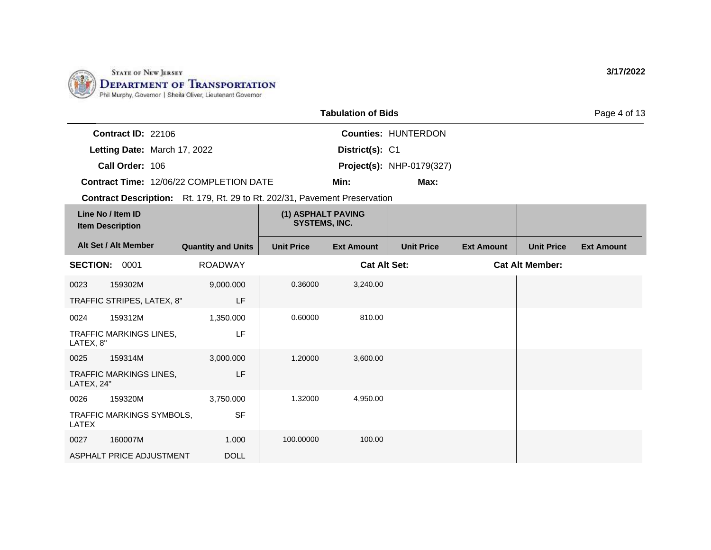

|                                              | <b>Tabulation of Bids</b>                      |                                                                                   |                            |                   |                   |                   |  |  |
|----------------------------------------------|------------------------------------------------|-----------------------------------------------------------------------------------|----------------------------|-------------------|-------------------|-------------------|--|--|
| <b>Contract ID: 22106</b>                    |                                                |                                                                                   | <b>Counties: HUNTERDON</b> |                   |                   |                   |  |  |
|                                              | Letting Date: March 17, 2022                   | District(s): C1                                                                   |                            |                   |                   |                   |  |  |
| Call Order: 106                              | <b>Project(s): NHP-0179(327)</b>               |                                                                                   |                            |                   |                   |                   |  |  |
|                                              | <b>Contract Time: 12/06/22 COMPLETION DATE</b> | Min:                                                                              | Max:                       |                   |                   |                   |  |  |
|                                              |                                                | <b>Contract Description:</b> Rt. 179, Rt. 29 to Rt. 202/31, Pavement Preservation |                            |                   |                   |                   |  |  |
| Line No / Item ID<br><b>Item Description</b> |                                                | (1) ASPHALT PAVING<br><b>SYSTEMS, INC.</b>                                        |                            |                   |                   |                   |  |  |
| Alt Set / Alt Member                         | <b>Quantity and Units</b>                      | <b>Unit Price</b><br><b>Ext Amount</b>                                            | <b>Unit Price</b>          | <b>Ext Amount</b> | <b>Unit Price</b> | <b>Ext Amount</b> |  |  |

| <b>SECTION:</b> | 0001                       | <b>ROADWAY</b> |           | <b>Cat Alt Set:</b> | <b>Cat Alt Member:</b> |
|-----------------|----------------------------|----------------|-----------|---------------------|------------------------|
| 0023            | 159302M                    | 9,000.000      | 0.36000   | 3,240.00            |                        |
|                 | TRAFFIC STRIPES, LATEX, 8" | LF.            |           |                     |                        |
| 0024            | 159312M                    | 1,350.000      | 0.60000   | 810.00              |                        |
| LATEX, 8"       | TRAFFIC MARKINGS LINES,    | LF             |           |                     |                        |
| 0025            | 159314M                    | 3,000.000      | 1.20000   | 3,600.00            |                        |
| LATEX, 24"      | TRAFFIC MARKINGS LINES,    | LF             |           |                     |                        |
| 0026            | 159320M                    | 3,750.000      | 1.32000   | 4,950.00            |                        |
| LATEX           | TRAFFIC MARKINGS SYMBOLS,  | <b>SF</b>      |           |                     |                        |
| 0027            | 160007M                    | 1.000          | 100.00000 | 100.00              |                        |
|                 | ASPHALT PRICE ADJUSTMENT   | <b>DOLL</b>    |           |                     |                        |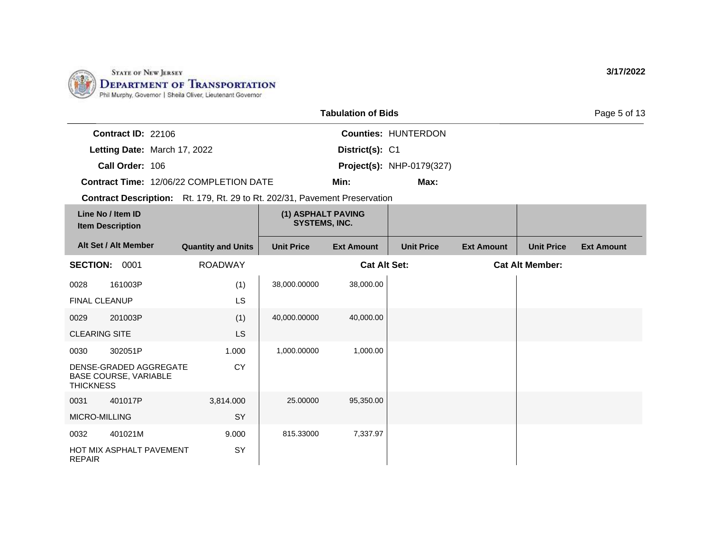

|                  |                                                        |                                                                            |                                            | <b>Tabulation of Bids</b> |                                  |                   |                        | Page 5 of 13      |
|------------------|--------------------------------------------------------|----------------------------------------------------------------------------|--------------------------------------------|---------------------------|----------------------------------|-------------------|------------------------|-------------------|
|                  | Contract ID: 22106                                     |                                                                            |                                            |                           | <b>Counties: HUNTERDON</b>       |                   |                        |                   |
|                  | Letting Date: March 17, 2022                           |                                                                            |                                            | District(s): C1           |                                  |                   |                        |                   |
|                  | Call Order: 106                                        |                                                                            |                                            |                           | <b>Project(s): NHP-0179(327)</b> |                   |                        |                   |
|                  |                                                        | Contract Time: 12/06/22 COMPLETION DATE                                    |                                            | Min:                      | Max:                             |                   |                        |                   |
|                  |                                                        | Contract Description: Rt. 179, Rt. 29 to Rt. 202/31, Pavement Preservation |                                            |                           |                                  |                   |                        |                   |
|                  | Line No / Item ID<br><b>Item Description</b>           |                                                                            | (1) ASPHALT PAVING<br><b>SYSTEMS, INC.</b> |                           |                                  |                   |                        |                   |
|                  | Alt Set / Alt Member                                   | <b>Quantity and Units</b>                                                  | <b>Unit Price</b>                          | <b>Ext Amount</b>         | <b>Unit Price</b>                | <b>Ext Amount</b> | <b>Unit Price</b>      | <b>Ext Amount</b> |
|                  | SECTION: 0001                                          | <b>ROADWAY</b>                                                             |                                            | <b>Cat Alt Set:</b>       |                                  |                   | <b>Cat Alt Member:</b> |                   |
| 0028             | 161003P                                                | (1)                                                                        | 38,000.00000                               | 38,000.00                 |                                  |                   |                        |                   |
|                  | <b>FINAL CLEANUP</b>                                   | <b>LS</b>                                                                  |                                            |                           |                                  |                   |                        |                   |
| 0029             | 201003P                                                | (1)                                                                        | 40,000.00000                               | 40,000.00                 |                                  |                   |                        |                   |
|                  | <b>CLEARING SITE</b>                                   | <b>LS</b>                                                                  |                                            |                           |                                  |                   |                        |                   |
| 0030             | 302051P                                                | 1.000                                                                      | 1,000.00000                                | 1,000.00                  |                                  |                   |                        |                   |
| <b>THICKNESS</b> | DENSE-GRADED AGGREGATE<br><b>BASE COURSE, VARIABLE</b> | <b>CY</b>                                                                  |                                            |                           |                                  |                   |                        |                   |
| 0031             | 401017P                                                | 3,814.000                                                                  | 25.00000                                   | 95,350.00                 |                                  |                   |                        |                   |
|                  | <b>MICRO-MILLING</b>                                   | SY                                                                         |                                            |                           |                                  |                   |                        |                   |
| 0032             | 401021M                                                | 9.000                                                                      | 815.33000                                  | 7,337.97                  |                                  |                   |                        |                   |
| <b>REPAIR</b>    | HOT MIX ASPHALT PAVEMENT                               | <b>SY</b>                                                                  |                                            |                           |                                  |                   |                        |                   |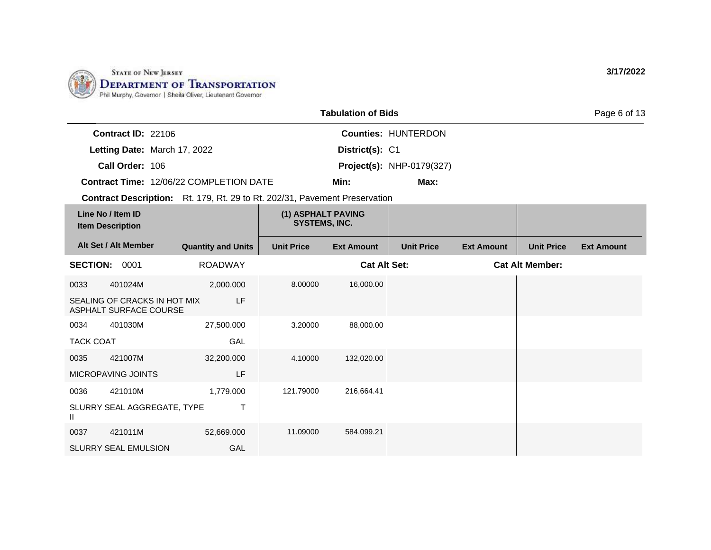

|                              |                                                | <b>Tabulation of Bids</b> |                                  | Page 6 of 13 |
|------------------------------|------------------------------------------------|---------------------------|----------------------------------|--------------|
| Contract $ID: 22106$         |                                                |                           | <b>Counties: HUNTERDON</b>       |              |
| Letting Date: March 17, 2022 |                                                | District(s): C1           |                                  |              |
| Call Order: 106              |                                                |                           | <b>Project(s): NHP-0179(327)</b> |              |
|                              | <b>Contract Time: 12/06/22 COMPLETION DATE</b> | Min:                      | Max:                             |              |

**Contract Description:** Rt. 179, Rt. 29 to Rt. 202/31, Pavement Preservation

| Line No / Item ID<br><b>Item Description</b>                 |                             | (1) ASPHALT PAVING<br>SYSTEMS, INC. |                   |                     |                   |                   |                        |                   |
|--------------------------------------------------------------|-----------------------------|-------------------------------------|-------------------|---------------------|-------------------|-------------------|------------------------|-------------------|
|                                                              | Alt Set / Alt Member        | <b>Quantity and Units</b>           | <b>Unit Price</b> | <b>Ext Amount</b>   | <b>Unit Price</b> | <b>Ext Amount</b> | <b>Unit Price</b>      | <b>Ext Amount</b> |
| <b>SECTION:</b>                                              | 0001                        | <b>ROADWAY</b>                      |                   | <b>Cat Alt Set:</b> |                   |                   | <b>Cat Alt Member:</b> |                   |
| 0033                                                         | 401024M                     | 2,000.000                           | 8.00000           | 16,000.00           |                   |                   |                        |                   |
| LF<br>SEALING OF CRACKS IN HOT MIX<br>ASPHALT SURFACE COURSE |                             |                                     |                   |                     |                   |                   |                        |                   |
| 0034                                                         | 401030M                     | 27,500.000                          | 3.20000           | 88,000.00           |                   |                   |                        |                   |
| <b>TACK COAT</b>                                             |                             | GAL                                 |                   |                     |                   |                   |                        |                   |
| 0035                                                         | 421007M                     | 32,200.000                          | 4.10000           | 132,020.00          |                   |                   |                        |                   |
|                                                              | MICROPAVING JOINTS          | LF                                  |                   |                     |                   |                   |                        |                   |
| 0036                                                         | 421010M                     | 1,779.000                           | 121.79000         | 216,664.41          |                   |                   |                        |                   |
| Ш                                                            | SLURRY SEAL AGGREGATE, TYPE | Т                                   |                   |                     |                   |                   |                        |                   |
| 0037                                                         | 421011M                     | 52,669.000                          | 11.09000          | 584,099.21          |                   |                   |                        |                   |
|                                                              | <b>SLURRY SEAL EMULSION</b> | GAL                                 |                   |                     |                   |                   |                        |                   |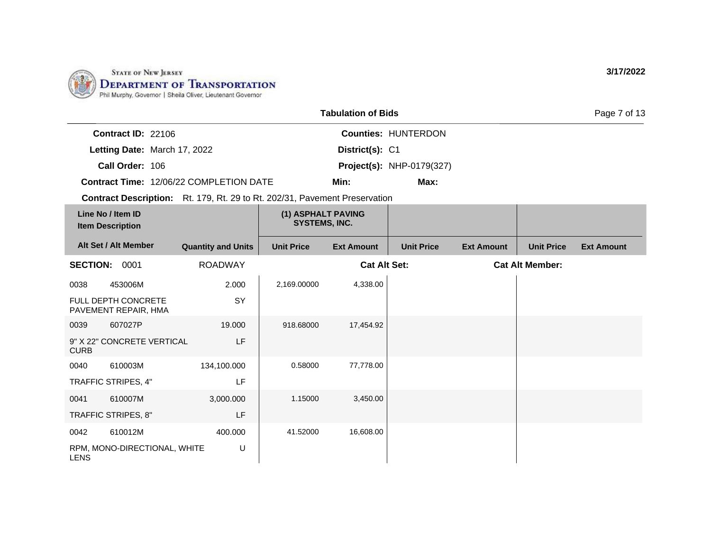

|                           |                                                | <b>Tabulation of Bids</b> |                                  | Page 7 of 13 |
|---------------------------|------------------------------------------------|---------------------------|----------------------------------|--------------|
| <b>Contract ID: 22106</b> |                                                |                           | <b>Counties: HUNTERDON</b>       |              |
|                           | Letting Date: March 17, 2022                   | District(s): C1           |                                  |              |
| Call Order: 106           |                                                |                           | <b>Project(s): NHP-0179(327)</b> |              |
|                           | <b>Contract Time: 12/06/22 COMPLETION DATE</b> | Min:                      | Max:                             |              |

**Contract Description:** Rt. 179, Rt. 29 to Rt. 202/31, Pavement Preservation

| Line No / Item ID<br><b>Item Description</b> |                                                    | (1) ASPHALT PAVING<br><b>SYSTEMS, INC.</b> |                   |                     |                   |                   |                        |                   |
|----------------------------------------------|----------------------------------------------------|--------------------------------------------|-------------------|---------------------|-------------------|-------------------|------------------------|-------------------|
|                                              | Alt Set / Alt Member                               | <b>Quantity and Units</b>                  | <b>Unit Price</b> | <b>Ext Amount</b>   | <b>Unit Price</b> | <b>Ext Amount</b> | <b>Unit Price</b>      | <b>Ext Amount</b> |
| <b>SECTION:</b>                              | 0001                                               | <b>ROADWAY</b>                             |                   | <b>Cat Alt Set:</b> |                   |                   | <b>Cat Alt Member:</b> |                   |
| 0038                                         | 453006M                                            | 2.000                                      | 2,169.00000       | 4,338.00            |                   |                   |                        |                   |
|                                              | <b>FULL DEPTH CONCRETE</b><br>PAVEMENT REPAIR, HMA | <b>SY</b>                                  |                   |                     |                   |                   |                        |                   |
| 0039                                         | 607027P                                            | 19.000                                     | 918.68000         | 17,454.92           |                   |                   |                        |                   |
| <b>CURB</b>                                  | 9" X 22" CONCRETE VERTICAL                         | LF                                         |                   |                     |                   |                   |                        |                   |
| 0040                                         | 610003M                                            | 134,100.000                                | 0.58000           | 77,778.00           |                   |                   |                        |                   |
|                                              | TRAFFIC STRIPES, 4"                                | LF                                         |                   |                     |                   |                   |                        |                   |
| 0041                                         | 610007M                                            | 3,000.000                                  | 1.15000           | 3,450.00            |                   |                   |                        |                   |
|                                              | TRAFFIC STRIPES, 8"                                | LF                                         |                   |                     |                   |                   |                        |                   |
| 0042                                         | 610012M                                            | 400.000                                    | 41.52000          | 16,608.00           |                   |                   |                        |                   |
| <b>LENS</b>                                  | RPM, MONO-DIRECTIONAL, WHITE                       | U                                          |                   |                     |                   |                   |                        |                   |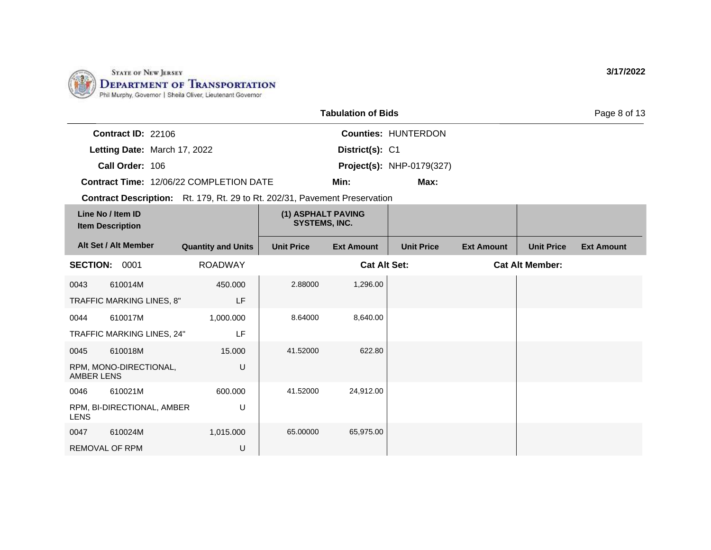

|                                                                                   | <b>Tabulation of Bids</b>                  |      | Page 8 of 13 |
|-----------------------------------------------------------------------------------|--------------------------------------------|------|--------------|
| <b>Contract ID: 22106</b>                                                         | <b>Counties: HUNTERDON</b>                 |      |              |
| Letting Date: March 17, 2022                                                      | District(s): C1                            |      |              |
| Call Order: 106                                                                   | <b>Project(s): NHP-0179(327)</b>           |      |              |
| <b>Contract Time: 12/06/22 COMPLETION DATE</b>                                    | Min:                                       | Max: |              |
| <b>Contract Description:</b> Rt. 179, Rt. 29 to Rt. 202/31, Pavement Preservation |                                            |      |              |
| Line No / Item ID<br><b>Item Description</b>                                      | (1) ASPHALT PAVING<br><b>SYSTEMS, INC.</b> |      |              |

| Alt Set / Alt Member |                            | <b>Quantity and Units</b> | <b>Unit Price</b> | <b>Ext Amount</b>   | <b>Unit Price</b> | <b>Ext Amount</b> | <b>Unit Price</b>      | <b>Ext Amount</b> |
|----------------------|----------------------------|---------------------------|-------------------|---------------------|-------------------|-------------------|------------------------|-------------------|
| <b>SECTION: 0001</b> |                            | <b>ROADWAY</b>            |                   | <b>Cat Alt Set:</b> |                   |                   | <b>Cat Alt Member:</b> |                   |
| 0043                 | 610014M                    | 450.000                   | 2.88000           | 1,296.00            |                   |                   |                        |                   |
|                      | TRAFFIC MARKING LINES, 8"  | LF                        |                   |                     |                   |                   |                        |                   |
| 0044                 | 610017M                    | 1,000.000                 | 8.64000           | 8,640.00            |                   |                   |                        |                   |
|                      | TRAFFIC MARKING LINES, 24" | LF                        |                   |                     |                   |                   |                        |                   |
| 0045                 | 610018M                    | 15.000                    | 41.52000          | 622.80              |                   |                   |                        |                   |
| AMBER LENS           | RPM, MONO-DIRECTIONAL,     | U                         |                   |                     |                   |                   |                        |                   |
| 0046                 | 610021M                    | 600.000                   | 41.52000          | 24,912.00           |                   |                   |                        |                   |
| <b>LENS</b>          | RPM, BI-DIRECTIONAL, AMBER | U                         |                   |                     |                   |                   |                        |                   |
| 0047                 | 610024M                    | 1,015.000                 | 65.00000          | 65,975.00           |                   |                   |                        |                   |
| REMOVAL OF RPM       |                            | U                         |                   |                     |                   |                   |                        |                   |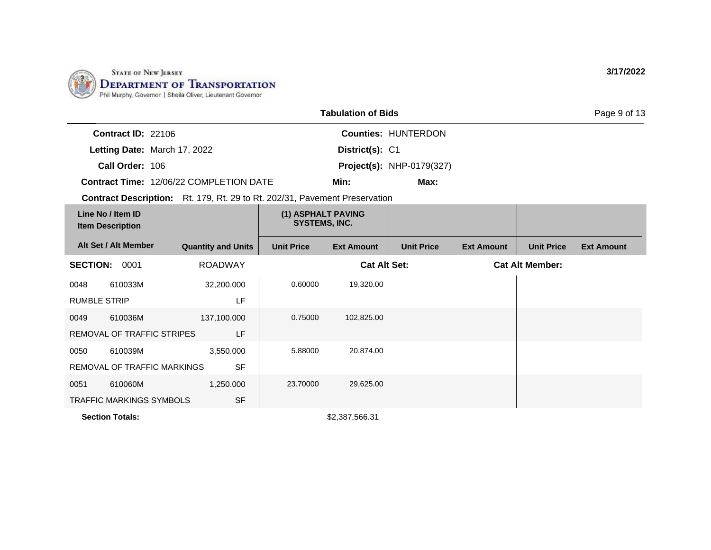

|                                              |                                                                                   |                                            | <b>Tabulation of Bids</b> |                                  |                   |                        | Page 9 of 13      |
|----------------------------------------------|-----------------------------------------------------------------------------------|--------------------------------------------|---------------------------|----------------------------------|-------------------|------------------------|-------------------|
| Contract ID: 22106                           |                                                                                   |                                            |                           | Counties: HUNTERDON              |                   |                        |                   |
| Letting Date: March 17, 2022                 |                                                                                   |                                            | District(s): C1           |                                  |                   |                        |                   |
| Call Order: 106                              |                                                                                   |                                            |                           | <b>Project(s): NHP-0179(327)</b> |                   |                        |                   |
|                                              | <b>Contract Time: 12/06/22 COMPLETION DATE</b>                                    |                                            | Min:                      | Max:                             |                   |                        |                   |
|                                              | <b>Contract Description:</b> Rt. 179, Rt. 29 to Rt. 202/31, Pavement Preservation |                                            |                           |                                  |                   |                        |                   |
| Line No / Item ID<br><b>Item Description</b> |                                                                                   | (1) ASPHALT PAVING<br><b>SYSTEMS, INC.</b> |                           |                                  |                   |                        |                   |
| Alt Set / Alt Member                         | <b>Quantity and Units</b>                                                         | <b>Unit Price</b>                          | <b>Ext Amount</b>         | <b>Unit Price</b>                | <b>Ext Amount</b> | <b>Unit Price</b>      | <b>Ext Amount</b> |
| <b>SECTION:</b><br>0001                      | <b>ROADWAY</b>                                                                    |                                            | <b>Cat Alt Set:</b>       |                                  |                   | <b>Cat Alt Member:</b> |                   |

| <b>SECTION:</b>     | 0001                            | <b>ROADWAY</b> |          | <b>Cat Alt Set:</b> | <b>Cat Alt Member:</b> |
|---------------------|---------------------------------|----------------|----------|---------------------|------------------------|
| 0048                | 610033M                         | 32,200.000     | 0.60000  | 19,320.00           |                        |
| <b>RUMBLE STRIP</b> |                                 | LF             |          |                     |                        |
| 0049                | 610036M                         | 137,100.000    | 0.75000  | 102,825.00          |                        |
|                     | REMOVAL OF TRAFFIC STRIPES      | LF             |          |                     |                        |
| 0050                | 610039M                         | 3,550.000      | 5.88000  | 20,874.00           |                        |
|                     | REMOVAL OF TRAFFIC MARKINGS     | <b>SF</b>      |          |                     |                        |
| 0051                | 610060M                         | 1,250.000      | 23,70000 | 29,625.00           |                        |
|                     | <b>TRAFFIC MARKINGS SYMBOLS</b> | <b>SF</b>      |          |                     |                        |

**Section Totals:**  $$2,387,566.31$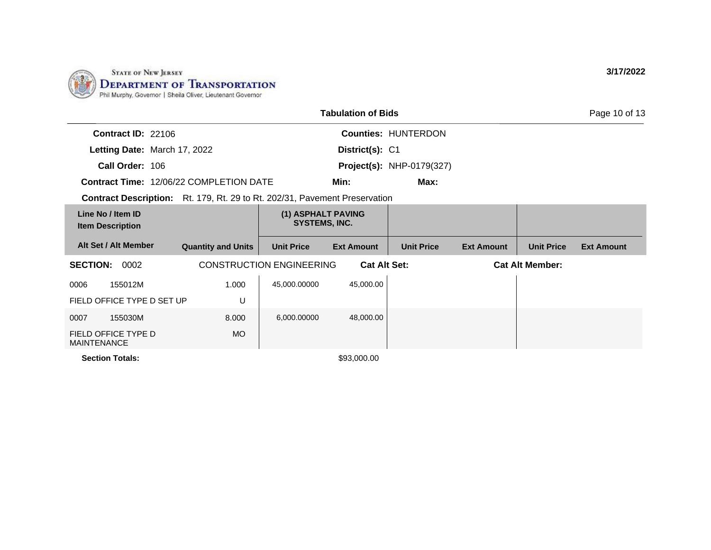

|                                                                                   |                           |                                            | <b>Tabulation of Bids</b> |                            |                   |                        | Page 10 of 13     |
|-----------------------------------------------------------------------------------|---------------------------|--------------------------------------------|---------------------------|----------------------------|-------------------|------------------------|-------------------|
| <b>Contract ID: 22106</b>                                                         |                           |                                            |                           | <b>Counties: HUNTERDON</b> |                   |                        |                   |
| Letting Date: March 17, 2022                                                      |                           |                                            | District(s): C1           |                            |                   |                        |                   |
| Call Order: 106                                                                   |                           |                                            |                           | Project(s): NHP-0179(327)  |                   |                        |                   |
| <b>Contract Time: 12/06/22 COMPLETION DATE</b>                                    |                           |                                            | Min:                      | Max:                       |                   |                        |                   |
| <b>Contract Description:</b> Rt. 179, Rt. 29 to Rt. 202/31, Pavement Preservation |                           |                                            |                           |                            |                   |                        |                   |
| Line No / Item ID<br><b>Item Description</b>                                      |                           | (1) ASPHALT PAVING<br><b>SYSTEMS, INC.</b> |                           |                            |                   |                        |                   |
| Alt Set / Alt Member                                                              | <b>Quantity and Units</b> | <b>Unit Price</b>                          | <b>Ext Amount</b>         | <b>Unit Price</b>          | <b>Ext Amount</b> | <b>Unit Price</b>      | <b>Ext Amount</b> |
| <b>SECTION:</b><br>0002                                                           |                           | <b>CONSTRUCTION ENGINEERING</b>            | <b>Cat Alt Set:</b>       |                            |                   | <b>Cat Alt Member:</b> |                   |
| 0006<br>155012M                                                                   | 1.000                     | 45,000.00000                               | 45,000.00                 |                            |                   |                        |                   |
| FIELD OFFICE TYPE D SET UP                                                        | U                         |                                            |                           |                            |                   |                        |                   |
| 155030M<br>0007                                                                   | 8.000                     | 6,000.00000                                | 48,000.00                 |                            |                   |                        |                   |
| FIELD OFFICE TYPE D<br><b>MAINTENANCE</b>                                         | MO.                       |                                            |                           |                            |                   |                        |                   |
| <b>Section Totals:</b>                                                            |                           |                                            | \$93,000.00               |                            |                   |                        |                   |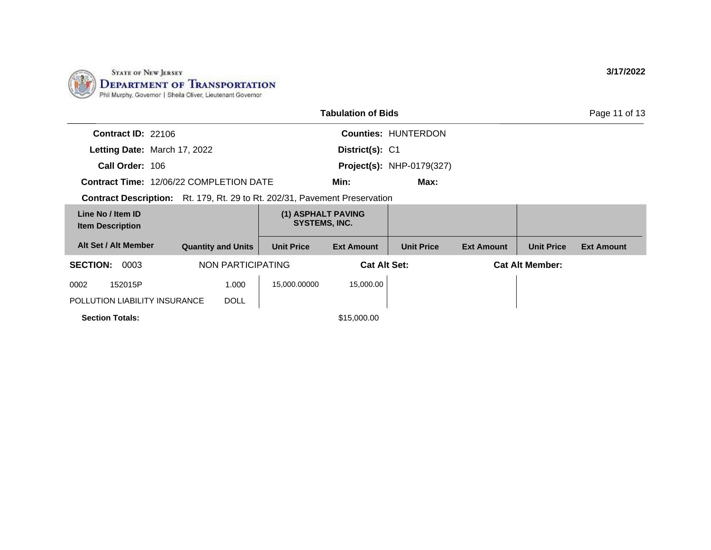

|                                                                                   |                                            | <b>Tabulation of Bids</b> |                                  |                   |                        | Page 11 of 13     |
|-----------------------------------------------------------------------------------|--------------------------------------------|---------------------------|----------------------------------|-------------------|------------------------|-------------------|
| <b>Contract ID: 22106</b>                                                         |                                            |                           | <b>Counties: HUNTERDON</b>       |                   |                        |                   |
| Letting Date: March 17, 2022                                                      |                                            | District(s): C1           |                                  |                   |                        |                   |
| Call Order: 106                                                                   |                                            |                           | <b>Project(s): NHP-0179(327)</b> |                   |                        |                   |
| <b>Contract Time: 12/06/22 COMPLETION DATE</b>                                    |                                            | Min:                      | Max:                             |                   |                        |                   |
| <b>Contract Description:</b> Rt. 179, Rt. 29 to Rt. 202/31, Pavement Preservation |                                            |                           |                                  |                   |                        |                   |
| Line No / Item ID<br><b>Item Description</b>                                      | (1) ASPHALT PAVING<br><b>SYSTEMS, INC.</b> |                           |                                  |                   |                        |                   |
| Alt Set / Alt Member<br><b>Quantity and Units</b>                                 | <b>Unit Price</b>                          | <b>Ext Amount</b>         | <b>Unit Price</b>                | <b>Ext Amount</b> | <b>Unit Price</b>      | <b>Ext Amount</b> |
| NON PARTICIPATING<br><b>SECTION:</b><br>0003                                      |                                            | <b>Cat Alt Set:</b>       |                                  |                   | <b>Cat Alt Member:</b> |                   |
| 152015P<br>1.000<br>0002                                                          | 15,000.00000                               | 15,000.00                 |                                  |                   |                        |                   |
| POLLUTION LIABILITY INSURANCE<br><b>DOLL</b>                                      |                                            |                           |                                  |                   |                        |                   |
| <b>Section Totals:</b>                                                            |                                            | \$15,000.00               |                                  |                   |                        |                   |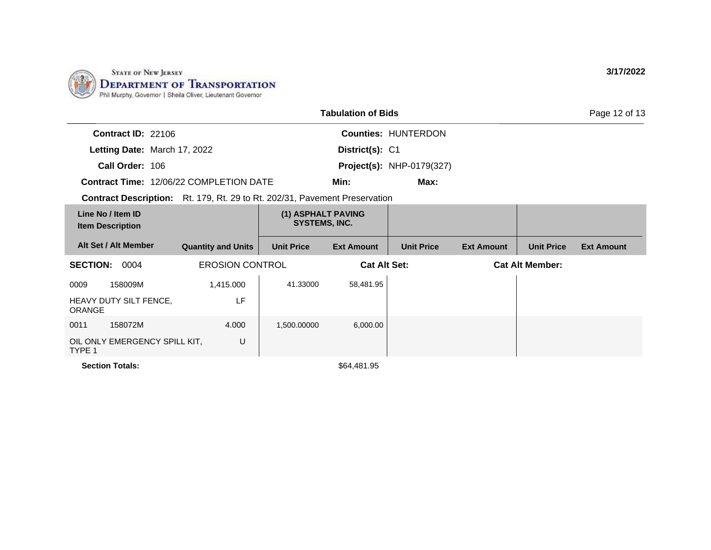

|                                                                                   |                           |                                            | <b>Tabulation of Bids</b> |                                  |                   |                        | Page 12 of 13     |
|-----------------------------------------------------------------------------------|---------------------------|--------------------------------------------|---------------------------|----------------------------------|-------------------|------------------------|-------------------|
| Contract ID: 22106                                                                |                           |                                            |                           | <b>Counties: HUNTERDON</b>       |                   |                        |                   |
| Letting Date: March 17, 2022                                                      |                           |                                            | District(s): C1           |                                  |                   |                        |                   |
| Call Order: 106                                                                   |                           |                                            |                           | <b>Project(s): NHP-0179(327)</b> |                   |                        |                   |
| <b>Contract Time: 12/06/22 COMPLETION DATE</b>                                    |                           |                                            | Min:                      | Max:                             |                   |                        |                   |
| <b>Contract Description:</b> Rt. 179, Rt. 29 to Rt. 202/31, Pavement Preservation |                           |                                            |                           |                                  |                   |                        |                   |
| Line No / Item ID<br><b>Item Description</b>                                      |                           | (1) ASPHALT PAVING<br><b>SYSTEMS, INC.</b> |                           |                                  |                   |                        |                   |
| Alt Set / Alt Member                                                              | <b>Quantity and Units</b> | <b>Unit Price</b>                          | <b>Ext Amount</b>         | <b>Unit Price</b>                | <b>Ext Amount</b> | <b>Unit Price</b>      | <b>Ext Amount</b> |
| <b>SECTION:</b><br>0004                                                           | <b>EROSION CONTROL</b>    |                                            | <b>Cat Alt Set:</b>       |                                  |                   | <b>Cat Alt Member:</b> |                   |
| 0009<br>158009M                                                                   | 1,415.000                 | 41.33000                                   | 58,481.95                 |                                  |                   |                        |                   |
| HEAVY DUTY SILT FENCE,<br><b>ORANGE</b>                                           | LF                        |                                            |                           |                                  |                   |                        |                   |
| 0011<br>158072M                                                                   | 4.000                     | 1,500.00000                                | 6,000.00                  |                                  |                   |                        |                   |
| OIL ONLY EMERGENCY SPILL KIT,<br>TYPE 1                                           | U                         |                                            |                           |                                  |                   |                        |                   |

**Section Totals:**  $$64,481.95$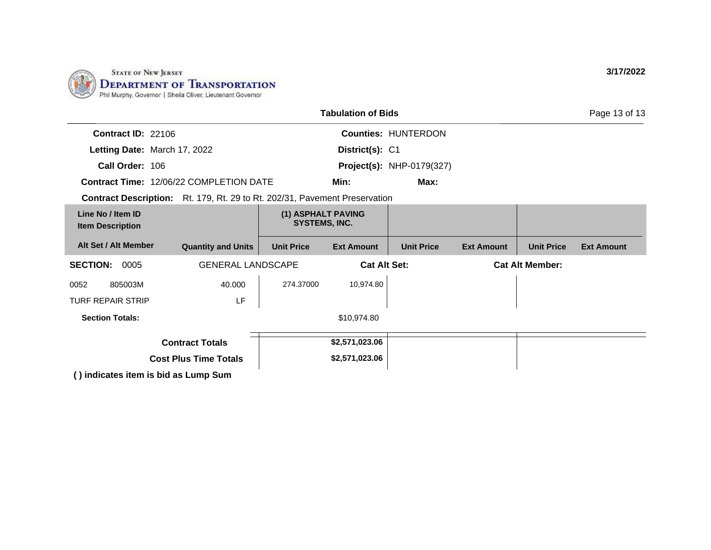

| <b>Tabulation of Bids</b>                                                         |                              |                                            |                     |                                  |                        |                   |                   |
|-----------------------------------------------------------------------------------|------------------------------|--------------------------------------------|---------------------|----------------------------------|------------------------|-------------------|-------------------|
| <b>Contract ID: 22106</b>                                                         |                              |                                            |                     | <b>Counties: HUNTERDON</b>       |                        |                   |                   |
| Letting Date: March 17, 2022                                                      |                              |                                            | District(s): C1     |                                  |                        |                   |                   |
| Call Order: 106                                                                   |                              |                                            |                     | <b>Project(s): NHP-0179(327)</b> |                        |                   |                   |
| <b>Contract Time: 12/06/22 COMPLETION DATE</b>                                    |                              |                                            | Min:                | Max:                             |                        |                   |                   |
| <b>Contract Description:</b> Rt. 179, Rt. 29 to Rt. 202/31, Pavement Preservation |                              |                                            |                     |                                  |                        |                   |                   |
| Line No / Item ID<br><b>Item Description</b>                                      |                              | (1) ASPHALT PAVING<br><b>SYSTEMS, INC.</b> |                     |                                  |                        |                   |                   |
| Alt Set / Alt Member                                                              | <b>Quantity and Units</b>    | <b>Unit Price</b>                          | <b>Ext Amount</b>   | <b>Unit Price</b>                | <b>Ext Amount</b>      | <b>Unit Price</b> | <b>Ext Amount</b> |
| <b>SECTION:</b><br>0005                                                           | <b>GENERAL LANDSCAPE</b>     |                                            | <b>Cat Alt Set:</b> |                                  | <b>Cat Alt Member:</b> |                   |                   |
| 0052<br>805003M                                                                   | 40.000                       | 274.37000                                  | 10,974.80           |                                  |                        |                   |                   |
| <b>TURF REPAIR STRIP</b>                                                          | LF                           |                                            |                     |                                  |                        |                   |                   |
| <b>Section Totals:</b>                                                            |                              |                                            | \$10,974.80         |                                  |                        |                   |                   |
|                                                                                   | <b>Contract Totals</b>       |                                            | \$2,571,023.06      |                                  |                        |                   |                   |
|                                                                                   | <b>Cost Plus Time Totals</b> |                                            | \$2,571,023.06      |                                  |                        |                   |                   |
| () indicates item is bid as Lump Sum                                              |                              |                                            |                     |                                  |                        |                   |                   |